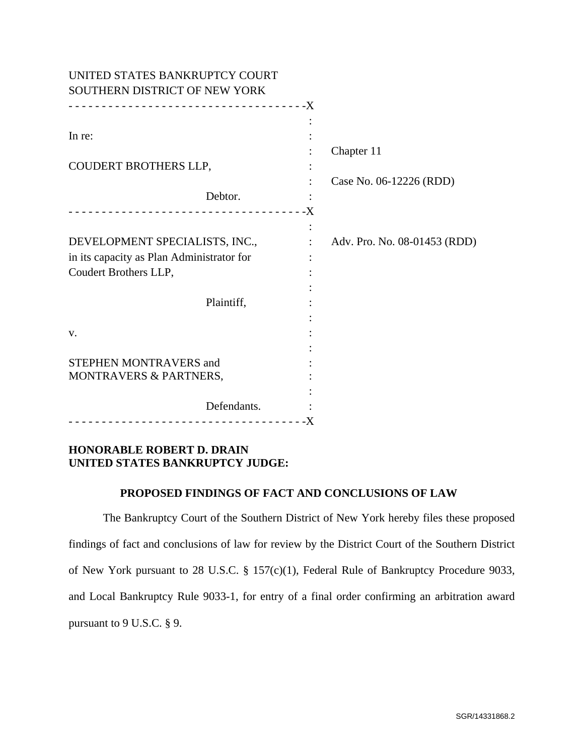| UNITED STATES BANKRUPTCY COURT            |                              |
|-------------------------------------------|------------------------------|
| SOUTHERN DISTRICT OF NEW YORK             |                              |
|                                           |                              |
|                                           |                              |
| In re:                                    |                              |
|                                           | Chapter 11                   |
| COUDERT BROTHERS LLP,                     |                              |
|                                           | Case No. 06-12226 (RDD)      |
| Debtor.                                   |                              |
|                                           |                              |
|                                           |                              |
| DEVELOPMENT SPECIALISTS, INC.,            | Adv. Pro. No. 08-01453 (RDD) |
| in its capacity as Plan Administrator for |                              |
| Coudert Brothers LLP,                     |                              |
|                                           |                              |
| Plaintiff,                                |                              |
|                                           |                              |
| V.                                        |                              |
|                                           |                              |
| <b>STEPHEN MONTRAVERS and</b>             |                              |
| MONTRAVERS & PARTNERS,                    |                              |
|                                           |                              |
| Defendants.                               |                              |
|                                           |                              |

# **HONORABLE ROBERT D. DRAIN UNITED STATES BANKRUPTCY JUDGE:**

### **PROPOSED FINDINGS OF FACT AND CONCLUSIONS OF LAW**

The Bankruptcy Court of the Southern District of New York hereby files these proposed findings of fact and conclusions of law for review by the District Court of the Southern District of New York pursuant to 28 U.S.C. § 157(c)(1), Federal Rule of Bankruptcy Procedure 9033, and Local Bankruptcy Rule 9033-1, for entry of a final order confirming an arbitration award pursuant to 9 U.S.C. § 9.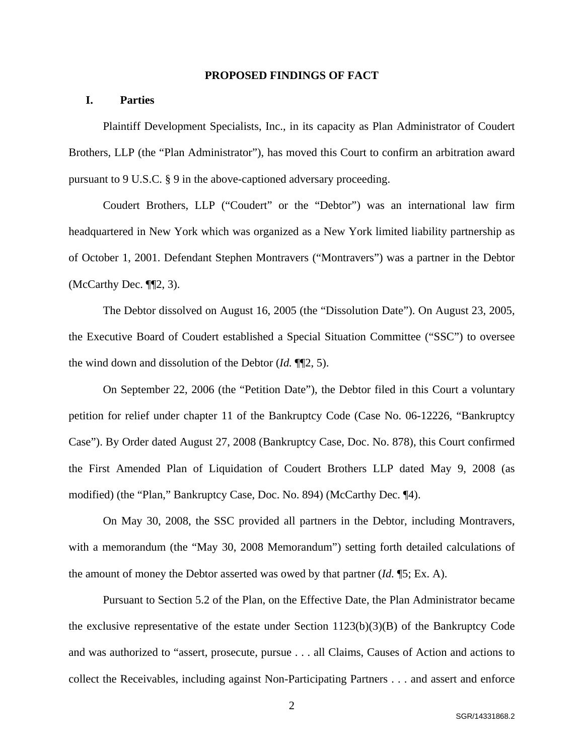#### **PROPOSED FINDINGS OF FACT**

## **I. Parties**

Plaintiff Development Specialists, Inc., in its capacity as Plan Administrator of Coudert Brothers, LLP (the "Plan Administrator"), has moved this Court to confirm an arbitration award pursuant to 9 U.S.C. § 9 in the above-captioned adversary proceeding.

Coudert Brothers, LLP ("Coudert" or the "Debtor") was an international law firm headquartered in New York which was organized as a New York limited liability partnership as of October 1, 2001. Defendant Stephen Montravers ("Montravers") was a partner in the Debtor (McCarthy Dec. ¶¶2, 3).

The Debtor dissolved on August 16, 2005 (the "Dissolution Date"). On August 23, 2005, the Executive Board of Coudert established a Special Situation Committee ("SSC") to oversee the wind down and dissolution of the Debtor (*Id.* ¶¶2, 5).

On September 22, 2006 (the "Petition Date"), the Debtor filed in this Court a voluntary petition for relief under chapter 11 of the Bankruptcy Code (Case No. 06-12226, "Bankruptcy Case"). By Order dated August 27, 2008 (Bankruptcy Case, Doc. No. 878), this Court confirmed the First Amended Plan of Liquidation of Coudert Brothers LLP dated May 9, 2008 (as modified) (the "Plan," Bankruptcy Case, Doc. No. 894) (McCarthy Dec. ¶4).

On May 30, 2008, the SSC provided all partners in the Debtor, including Montravers, with a memorandum (the "May 30, 2008 Memorandum") setting forth detailed calculations of the amount of money the Debtor asserted was owed by that partner (*Id.* ¶5; Ex. A).

 Pursuant to Section 5.2 of the Plan, on the Effective Date, the Plan Administrator became the exclusive representative of the estate under Section  $1123(b)(3)(B)$  of the Bankruptcy Code and was authorized to "assert, prosecute, pursue . . . all Claims, Causes of Action and actions to collect the Receivables, including against Non-Participating Partners . . . and assert and enforce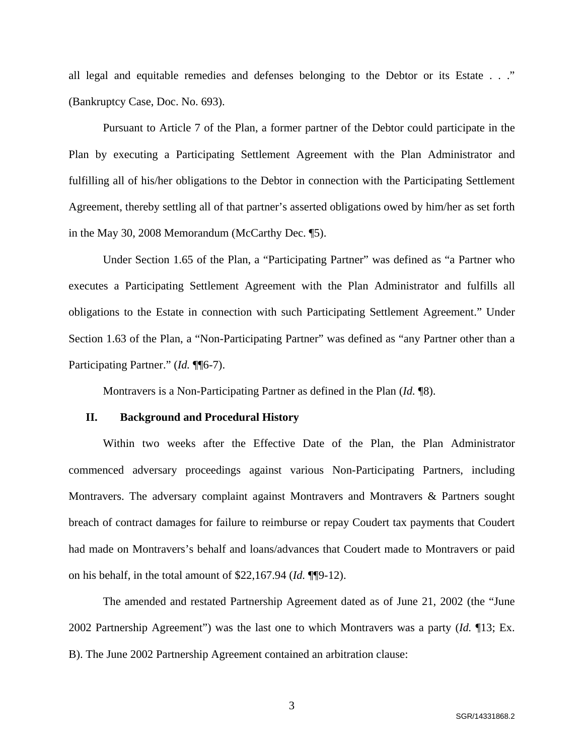all legal and equitable remedies and defenses belonging to the Debtor or its Estate . . ." (Bankruptcy Case, Doc. No. 693).

Pursuant to Article 7 of the Plan, a former partner of the Debtor could participate in the Plan by executing a Participating Settlement Agreement with the Plan Administrator and fulfilling all of his/her obligations to the Debtor in connection with the Participating Settlement Agreement, thereby settling all of that partner's asserted obligations owed by him/her as set forth in the May 30, 2008 Memorandum (McCarthy Dec. ¶5).

Under Section 1.65 of the Plan, a "Participating Partner" was defined as "a Partner who executes a Participating Settlement Agreement with the Plan Administrator and fulfills all obligations to the Estate in connection with such Participating Settlement Agreement." Under Section 1.63 of the Plan, a "Non-Participating Partner" was defined as "any Partner other than a Participating Partner." (*Id.* ¶¶6-7).

Montravers is a Non-Participating Partner as defined in the Plan (*Id.* ¶8).

#### **II. Background and Procedural History**

Within two weeks after the Effective Date of the Plan, the Plan Administrator commenced adversary proceedings against various Non-Participating Partners, including Montravers. The adversary complaint against Montravers and Montravers & Partners sought breach of contract damages for failure to reimburse or repay Coudert tax payments that Coudert had made on Montravers's behalf and loans/advances that Coudert made to Montravers or paid on his behalf, in the total amount of \$22,167.94 (*Id.* ¶¶9-12).

The amended and restated Partnership Agreement dated as of June 21, 2002 (the "June 2002 Partnership Agreement") was the last one to which Montravers was a party (*Id.* ¶13; Ex. B). The June 2002 Partnership Agreement contained an arbitration clause:

3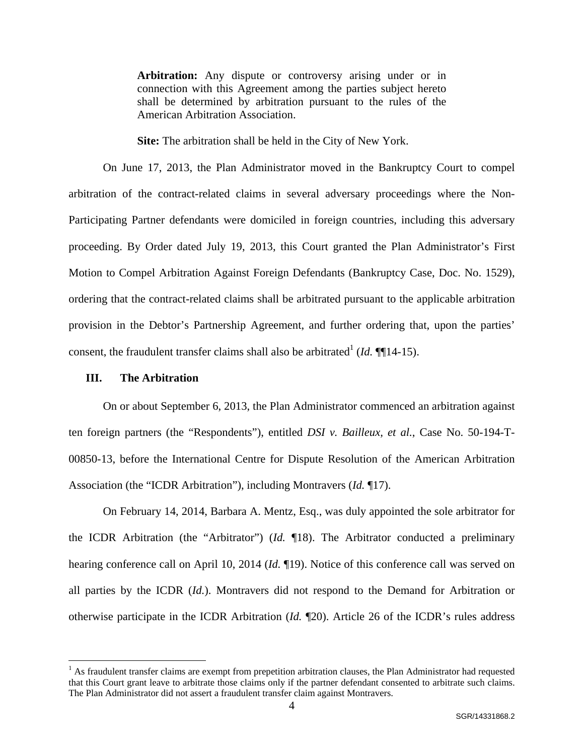Arbitration: Any dispute or controversy arising under or in connection with this Agreement among the parties subject hereto shall be determined by arbitration pursuant to the rules of the American Arbitration Association.

**Site:** The arbitration shall be held in the City of New York.

On June 17, 2013, the Plan Administrator moved in the Bankruptcy Court to compel arbitration of the contract-related claims in several adversary proceedings where the Non-Participating Partner defendants were domiciled in foreign countries, including this adversary proceeding. By Order dated July 19, 2013, this Court granted the Plan Administrator's First Motion to Compel Arbitration Against Foreign Defendants (Bankruptcy Case, Doc. No. 1529), ordering that the contract-related claims shall be arbitrated pursuant to the applicable arbitration provision in the Debtor's Partnership Agreement, and further ordering that, upon the parties' consent, the fraudulent transfer claims shall also be arbitrated<sup>1</sup> (*Id.*  $\P$ [14-15).

#### **III. The Arbitration**

1

On or about September 6, 2013, the Plan Administrator commenced an arbitration against ten foreign partners (the "Respondents"), entitled *DSI v. Bailleux, et al.*, Case No. 50-194-T-00850-13, before the International Centre for Dispute Resolution of the American Arbitration Association (the "ICDR Arbitration"), including Montravers (*Id.* ¶17).

On February 14, 2014, Barbara A. Mentz, Esq., was duly appointed the sole arbitrator for the ICDR Arbitration (the "Arbitrator") (*Id.* ¶18). The Arbitrator conducted a preliminary hearing conference call on April 10, 2014 (*Id.* ¶19). Notice of this conference call was served on all parties by the ICDR (*Id.*). Montravers did not respond to the Demand for Arbitration or otherwise participate in the ICDR Arbitration (*Id.* ¶20). Article 26 of the ICDR's rules address

 $<sup>1</sup>$  As fraudulent transfer claims are exempt from prepetition arbitration clauses, the Plan Administrator had requested</sup> that this Court grant leave to arbitrate those claims only if the partner defendant consented to arbitrate such claims. The Plan Administrator did not assert a fraudulent transfer claim against Montravers.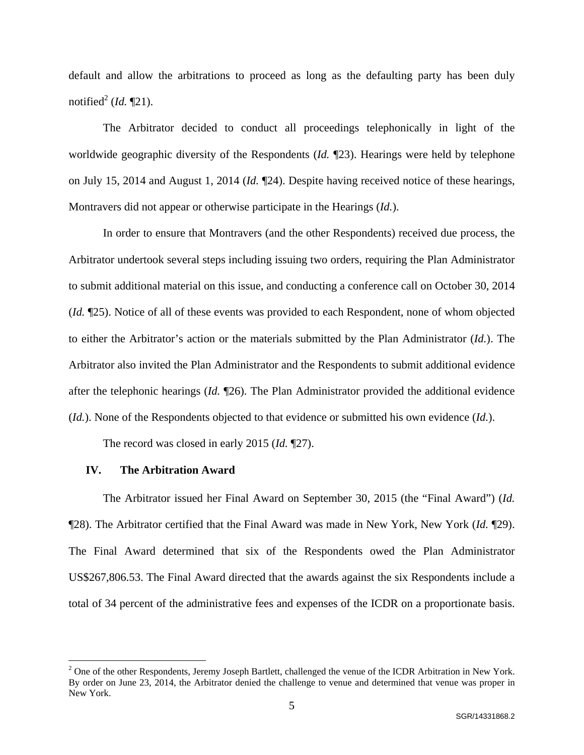default and allow the arbitrations to proceed as long as the defaulting party has been duly notified<sup>2</sup> (*Id.* ¶21).

The Arbitrator decided to conduct all proceedings telephonically in light of the worldwide geographic diversity of the Respondents (*Id.* ¶23). Hearings were held by telephone on July 15, 2014 and August 1, 2014 (*Id.* ¶24). Despite having received notice of these hearings, Montravers did not appear or otherwise participate in the Hearings (*Id.*).

In order to ensure that Montravers (and the other Respondents) received due process, the Arbitrator undertook several steps including issuing two orders, requiring the Plan Administrator to submit additional material on this issue, and conducting a conference call on October 30, 2014 (*Id.* ¶25). Notice of all of these events was provided to each Respondent, none of whom objected to either the Arbitrator's action or the materials submitted by the Plan Administrator (*Id.*). The Arbitrator also invited the Plan Administrator and the Respondents to submit additional evidence after the telephonic hearings (*Id.* ¶26). The Plan Administrator provided the additional evidence (*Id.*). None of the Respondents objected to that evidence or submitted his own evidence (*Id.*).

The record was closed in early 2015 (*Id.* ¶27).

### **IV. The Arbitration Award**

 $\overline{a}$ 

The Arbitrator issued her Final Award on September 30, 2015 (the "Final Award") (*Id.* ¶28). The Arbitrator certified that the Final Award was made in New York, New York (*Id.* ¶29). The Final Award determined that six of the Respondents owed the Plan Administrator US\$267,806.53. The Final Award directed that the awards against the six Respondents include a total of 34 percent of the administrative fees and expenses of the ICDR on a proportionate basis.

 $2^2$  One of the other Respondents, Jeremy Joseph Bartlett, challenged the venue of the ICDR Arbitration in New York. By order on June 23, 2014, the Arbitrator denied the challenge to venue and determined that venue was proper in New York.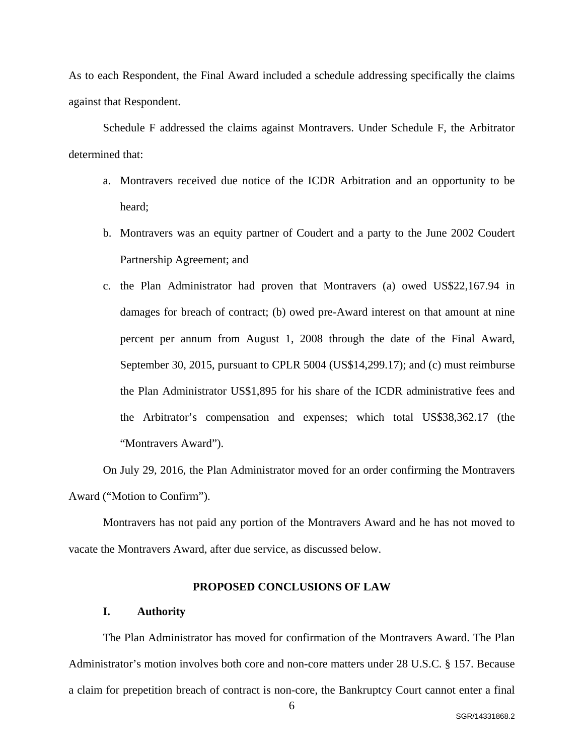As to each Respondent, the Final Award included a schedule addressing specifically the claims against that Respondent.

Schedule F addressed the claims against Montravers. Under Schedule F, the Arbitrator determined that:

- a. Montravers received due notice of the ICDR Arbitration and an opportunity to be heard;
- b. Montravers was an equity partner of Coudert and a party to the June 2002 Coudert Partnership Agreement; and
- c. the Plan Administrator had proven that Montravers (a) owed US\$22,167.94 in damages for breach of contract; (b) owed pre-Award interest on that amount at nine percent per annum from August 1, 2008 through the date of the Final Award, September 30, 2015, pursuant to CPLR 5004 (US\$14,299.17); and (c) must reimburse the Plan Administrator US\$1,895 for his share of the ICDR administrative fees and the Arbitrator's compensation and expenses; which total US\$38,362.17 (the "Montravers Award").

On July 29, 2016, the Plan Administrator moved for an order confirming the Montravers Award ("Motion to Confirm").

Montravers has not paid any portion of the Montravers Award and he has not moved to vacate the Montravers Award, after due service, as discussed below.

### **PROPOSED CONCLUSIONS OF LAW**

#### **I. Authority**

The Plan Administrator has moved for confirmation of the Montravers Award. The Plan Administrator's motion involves both core and non-core matters under 28 U.S.C. § 157. Because a claim for prepetition breach of contract is non-core, the Bankruptcy Court cannot enter a final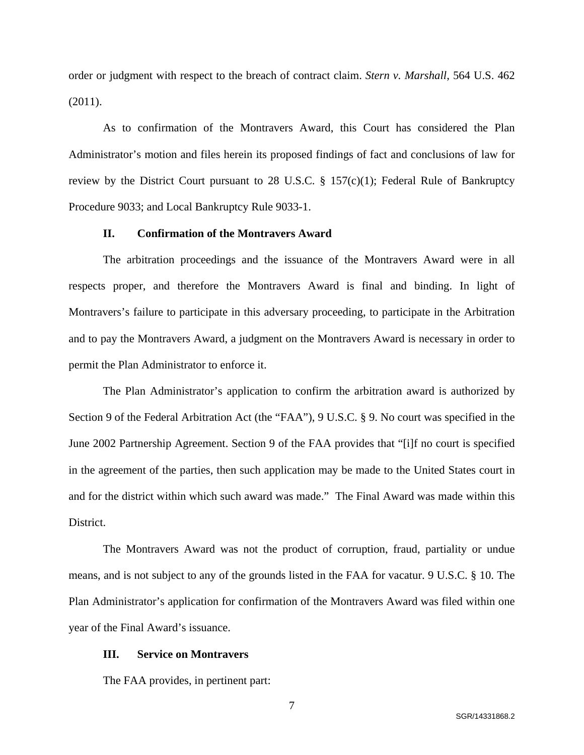order or judgment with respect to the breach of contract claim. *Stern v. Marshall*, 564 U.S. 462 (2011).

As to confirmation of the Montravers Award, this Court has considered the Plan Administrator's motion and files herein its proposed findings of fact and conclusions of law for review by the District Court pursuant to 28 U.S.C. § 157(c)(1); Federal Rule of Bankruptcy Procedure 9033; and Local Bankruptcy Rule 9033-1.

### **II. Confirmation of the Montravers Award**

The arbitration proceedings and the issuance of the Montravers Award were in all respects proper, and therefore the Montravers Award is final and binding. In light of Montravers's failure to participate in this adversary proceeding, to participate in the Arbitration and to pay the Montravers Award, a judgment on the Montravers Award is necessary in order to permit the Plan Administrator to enforce it.

The Plan Administrator's application to confirm the arbitration award is authorized by Section 9 of the Federal Arbitration Act (the "FAA"), 9 U.S.C. § 9. No court was specified in the June 2002 Partnership Agreement. Section 9 of the FAA provides that "[i]f no court is specified in the agreement of the parties, then such application may be made to the United States court in and for the district within which such award was made." The Final Award was made within this District.

The Montravers Award was not the product of corruption, fraud, partiality or undue means, and is not subject to any of the grounds listed in the FAA for vacatur. 9 U.S.C. § 10. The Plan Administrator's application for confirmation of the Montravers Award was filed within one year of the Final Award's issuance.

#### **III. Service on Montravers**

The FAA provides, in pertinent part: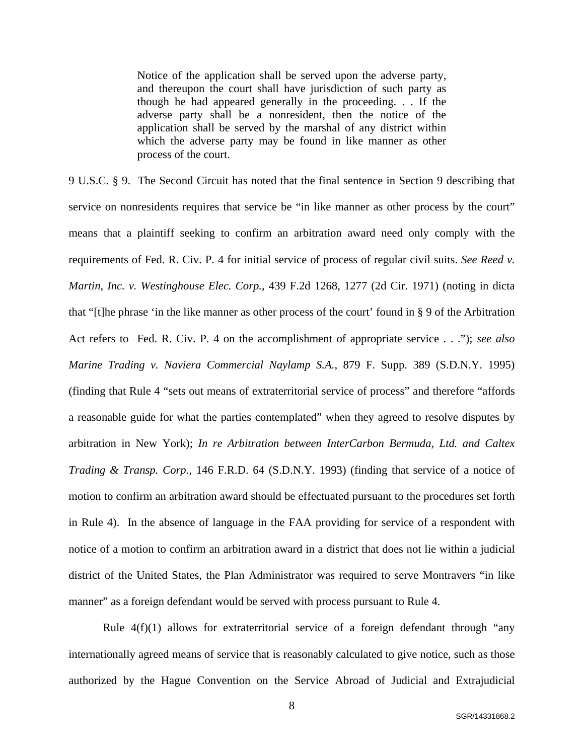Notice of the application shall be served upon the adverse party, and thereupon the court shall have jurisdiction of such party as though he had appeared generally in the proceeding. . . If the adverse party shall be a nonresident, then the notice of the application shall be served by the marshal of any district within which the adverse party may be found in like manner as other process of the court.

9 U.S.C. § 9. The Second Circuit has noted that the final sentence in Section 9 describing that service on nonresidents requires that service be "in like manner as other process by the court" means that a plaintiff seeking to confirm an arbitration award need only comply with the requirements of Fed. R. Civ. P. 4 for initial service of process of regular civil suits. *See Reed v. Martin, Inc. v. Westinghouse Elec. Corp.*, 439 F.2d 1268, 1277 (2d Cir. 1971) (noting in dicta that "[t]he phrase 'in the like manner as other process of the court' found in § 9 of the Arbitration Act refers to Fed. R. Civ. P. 4 on the accomplishment of appropriate service . . ."); *see also Marine Trading v. Naviera Commercial Naylamp S.A.*, 879 F. Supp. 389 (S.D.N.Y. 1995) (finding that Rule 4 "sets out means of extraterritorial service of process" and therefore "affords a reasonable guide for what the parties contemplated" when they agreed to resolve disputes by arbitration in New York); *In re Arbitration between InterCarbon Bermuda, Ltd. and Caltex Trading & Transp. Corp.*, 146 F.R.D. 64 (S.D.N.Y. 1993) (finding that service of a notice of motion to confirm an arbitration award should be effectuated pursuant to the procedures set forth in Rule 4). In the absence of language in the FAA providing for service of a respondent with notice of a motion to confirm an arbitration award in a district that does not lie within a judicial district of the United States, the Plan Administrator was required to serve Montravers "in like manner" as a foreign defendant would be served with process pursuant to Rule 4.

Rule  $4(f)(1)$  allows for extraterritorial service of a foreign defendant through "any internationally agreed means of service that is reasonably calculated to give notice, such as those authorized by the Hague Convention on the Service Abroad of Judicial and Extrajudicial

8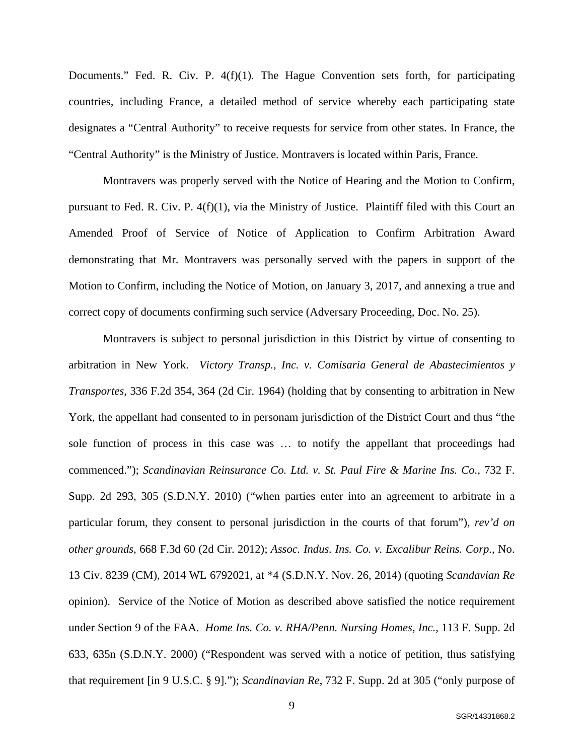Documents." Fed. R. Civ. P. 4(f)(1). The Hague Convention sets forth, for participating countries, including France, a detailed method of service whereby each participating state designates a "Central Authority" to receive requests for service from other states. In France, the "Central Authority" is the Ministry of Justice. Montravers is located within Paris, France.

Montravers was properly served with the Notice of Hearing and the Motion to Confirm, pursuant to Fed. R. Civ. P. 4(f)(1), via the Ministry of Justice. Plaintiff filed with this Court an Amended Proof of Service of Notice of Application to Confirm Arbitration Award demonstrating that Mr. Montravers was personally served with the papers in support of the Motion to Confirm, including the Notice of Motion, on January 3, 2017, and annexing a true and correct copy of documents confirming such service (Adversary Proceeding, Doc. No. 25).

Montravers is subject to personal jurisdiction in this District by virtue of consenting to arbitration in New York. *Victory Transp., Inc. v. Comisaria General de Abastecimientos y Transportes*, 336 F.2d 354, 364 (2d Cir. 1964) (holding that by consenting to arbitration in New York, the appellant had consented to in personam jurisdiction of the District Court and thus "the sole function of process in this case was … to notify the appellant that proceedings had commenced."); *Scandinavian Reinsurance Co. Ltd. v. St. Paul Fire & Marine Ins. Co.*, 732 F. Supp. 2d 293, 305 (S.D.N.Y. 2010) ("when parties enter into an agreement to arbitrate in a particular forum, they consent to personal jurisdiction in the courts of that forum"), *rev'd on other grounds*, 668 F.3d 60 (2d Cir. 2012); *Assoc. Indus. Ins. Co. v. Excalibur Reins. Corp.*, No. 13 Civ. 8239 (CM), 2014 WL 6792021, at \*4 (S.D.N.Y. Nov. 26, 2014) (quoting *Scandavian Re* opinion). Service of the Notice of Motion as described above satisfied the notice requirement under Section 9 of the FAA. *Home Ins. Co. v. RHA/Penn. Nursing Homes, Inc.*, 113 F. Supp. 2d 633, 635n (S.D.N.Y. 2000) ("Respondent was served with a notice of petition, thus satisfying that requirement [in 9 U.S.C. § 9]."); *Scandinavian Re*, 732 F. Supp. 2d at 305 ("only purpose of